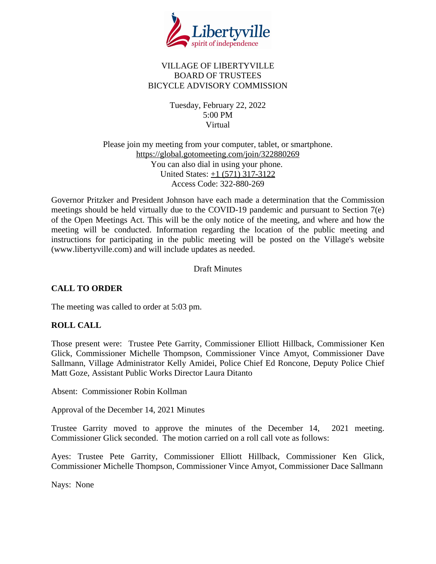

## VILLAGE OF LIBERTYVILLE BOARD OF TRUSTEES BICYCLE ADVISORY COMMISSION

Tuesday, February 22, 2022 5:00 PM Virtual

## Please join my meeting from your computer, tablet, or smartphone. <https://global.gotomeeting.com/join/322880269> You can also dial in using your phone. United States: [+1 \(571\) 317-3122](tel:+15713173122,,322880269) Access Code: 322-880-269

Governor Pritzker and President Johnson have each made a determination that the Commission meetings should be held virtually due to the COVID-19 pandemic and pursuant to Section 7(e) of the Open Meetings Act. This will be the only notice of the meeting, and where and how the meeting will be conducted. Information regarding the location of the public meeting and instructions for participating in the public meeting will be posted on the Village's website (www.libertyville.com) and will include updates as needed.

Draft Minutes

# **CALL TO ORDER**

The meeting was called to order at 5:03 pm.

# **ROLL CALL**

Those present were: Trustee Pete Garrity, Commissioner Elliott Hillback, Commissioner Ken Glick, Commissioner Michelle Thompson, Commissioner Vince Amyot, Commissioner Dave Sallmann, Village Administrator Kelly Amidei, Police Chief Ed Roncone, Deputy Police Chief Matt Goze, Assistant Public Works Director Laura Ditanto

Absent: Commissioner Robin Kollman

Approval of the December 14, 2021 Minutes

Trustee Garrity moved to approve the minutes of the December 14, 2021 meeting. Commissioner Glick seconded. The motion carried on a roll call vote as follows:

Ayes: Trustee Pete Garrity, Commissioner Elliott Hillback, Commissioner Ken Glick, Commissioner Michelle Thompson, Commissioner Vince Amyot, Commissioner Dace Sallmann

Nays: None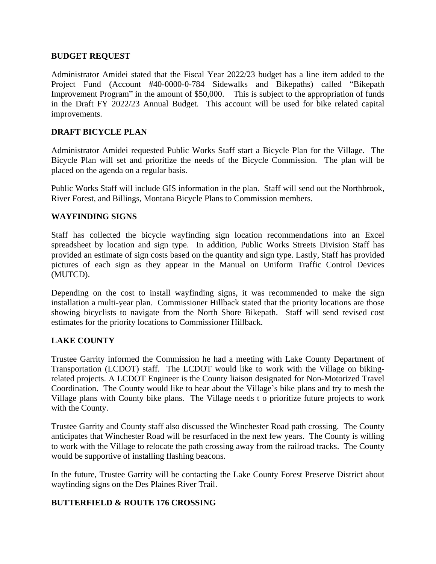#### **BUDGET REQUEST**

Administrator Amidei stated that the Fiscal Year 2022/23 budget has a line item added to the Project Fund (Account #40-0000-0-784 Sidewalks and Bikepaths) called "Bikepath Improvement Program" in the amount of \$50,000. This is subject to the appropriation of funds in the Draft FY 2022/23 Annual Budget. This account will be used for bike related capital improvements.

## **DRAFT BICYCLE PLAN**

Administrator Amidei requested Public Works Staff start a Bicycle Plan for the Village. The Bicycle Plan will set and prioritize the needs of the Bicycle Commission. The plan will be placed on the agenda on a regular basis.

Public Works Staff will include GIS information in the plan. Staff will send out the Northbrook, River Forest, and Billings, Montana Bicycle Plans to Commission members.

#### **WAYFINDING SIGNS**

Staff has collected the bicycle wayfinding sign location recommendations into an Excel spreadsheet by location and sign type. In addition, Public Works Streets Division Staff has provided an estimate of sign costs based on the quantity and sign type. Lastly, Staff has provided pictures of each sign as they appear in the Manual on Uniform Traffic Control Devices (MUTCD).

Depending on the cost to install wayfinding signs, it was recommended to make the sign installation a multi-year plan. Commissioner Hillback stated that the priority locations are those showing bicyclists to navigate from the North Shore Bikepath. Staff will send revised cost estimates for the priority locations to Commissioner Hillback.

## **LAKE COUNTY**

Trustee Garrity informed the Commission he had a meeting with Lake County Department of Transportation (LCDOT) staff. The LCDOT would like to work with the Village on bikingrelated projects. A LCDOT Engineer is the County liaison designated for Non-Motorized Travel Coordination. The County would like to hear about the Village's bike plans and try to mesh the Village plans with County bike plans. The Village needs t o prioritize future projects to work with the County.

Trustee Garrity and County staff also discussed the Winchester Road path crossing. The County anticipates that Winchester Road will be resurfaced in the next few years. The County is willing to work with the Village to relocate the path crossing away from the railroad tracks. The County would be supportive of installing flashing beacons.

In the future, Trustee Garrity will be contacting the Lake County Forest Preserve District about wayfinding signs on the Des Plaines River Trail.

## **BUTTERFIELD & ROUTE 176 CROSSING**